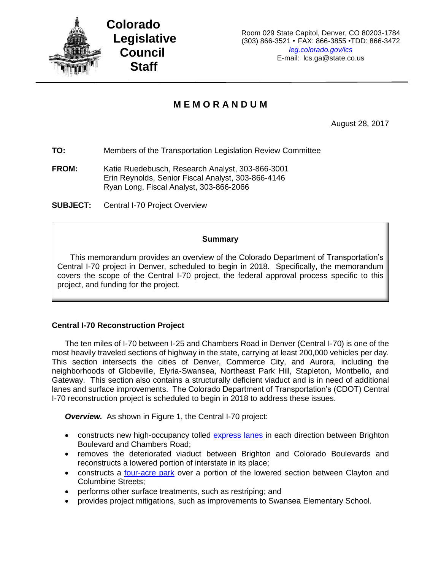

# **M E M O R A N D U M**

August 28, 2017

**TO:** Members of the Transportation Legislation Review Committee

**FROM:** Katie Ruedebusch, Research Analyst, 303-866-3001 Erin Reynolds, Senior Fiscal Analyst, 303-866-4146 Ryan Long, Fiscal Analyst, 303-866-2066

**SUBJECT:** Central I-70 Project Overview

#### **Summary**

This memorandum provides an overview of the Colorado Department of Transportation's Central I-70 project in Denver, scheduled to begin in 2018. Specifically, the memorandum covers the scope of the Central I-70 project, the federal approval process specific to this project, and funding for the project.

### **Central I-70 Reconstruction Project**

The ten miles of I-70 between I-25 and Chambers Road in Denver (Central I-70) is one of the most heavily traveled sections of highway in the state, carrying at least 200,000 vehicles per day. This section intersects the cities of Denver, Commerce City, and Aurora, including the neighborhoods of Globeville, Elyria-Swansea, Northeast Park Hill, Stapleton, Montbello, and Gateway. This section also contains a structurally deficient viaduct and is in need of additional lanes and surface improvements. The Colorado Department of Transportation's (CDOT) Central I-70 reconstruction project is scheduled to begin in 2018 to address these issues.

**Overview.** As shown in Figure 1, the Central I-70 project:

- constructs new high-occupancy tolled [express lanes](https://www.codot.gov/projects/i70east/fact-sheets-8-2.16/CDOTexpresslanesFactSheetv7.pdf) in each direction between Brighton Boulevard and Chambers Road;
- removes the deteriorated viaduct between Brighton and Colorado Boulevards and reconstructs a lowered portion of interstate in its place;
- constructs a [four-acre park](https://www.codot.gov/projects/i70east/fact-sheets-8-2.16/Cover%20design%20-%206-22-16.pdf) over a portion of the lowered section between Clayton and Columbine Streets;
- performs other surface treatments, such as restriping; and
- provides project mitigations, such as improvements to Swansea Elementary School.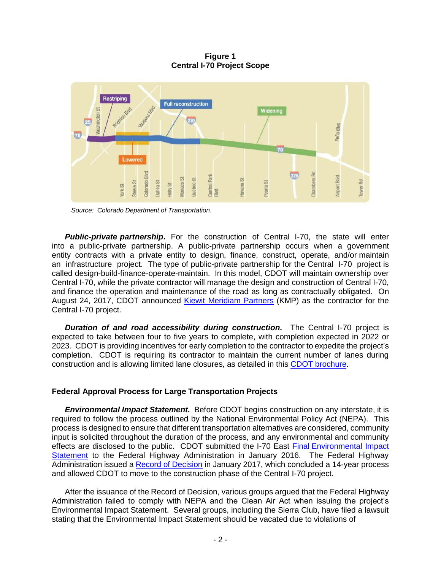**Figure 1 Central I-70 Project Scope**



*Source: Colorado Department of Transportation.*

**Public-private partnership.** For the construction of Central I-70, the state will enter into a public-private partnership. A public-private partnership occurs when a government entity contracts with a private entity to design, finance, construct, operate, and/or maintain an infrastructure project. The type of public-private partnership for the Central I-70 project is called design-build-finance-operate-maintain. In this model, CDOT will maintain ownership over Central I-70, while the private contractor will manage the design and construction of Central I-70, and finance the operation and maintenance of the road as long as contractually obligated. On August 24, 2017, CDOT announced [Kiewit Meridiam Partners](https://www.codot.gov/projects/i70east/assets/c70_es_publicstatement_rev-v4-8-24-17.pdf) (KMP) as the contractor for the Central I-70 project.

*Duration of and road accessibility during construction.* The Central I-70 project is expected to take between four to five years to complete, with completion expected in 2022 or 2023. CDOT is providing incentives for early completion to the contractor to expedite the project's completion. CDOT is requiring its contractor to maintain the current number of lanes during construction and is allowing limited lane closures, as detailed in this CDOT [brochure.](https://www.codot.gov/projects/i70east/fact-sheets-8-2.16/construction-and-community-access_03-09-17.pdf)

### **Federal Approval Process for Large Transportation Projects**

*Environmental Impact Statement.* Before CDOT begins construction on any interstate, it is required to follow the process outlined by the National Environmental Policy Act (NEPA). This process is designed to ensure that different transportation alternatives are considered, community input is solicited throughout the duration of the process, and any environmental and community effects are disclosed to the public. CDOT submitted the I-70 East Final [Environmental Impact](http://i-70east.com/FinalEIS/I-70EastEIS_FEIS-Volume1.pdf)  [Statement](http://i-70east.com/FinalEIS/I-70EastEIS_FEIS-Volume1.pdf) to the Federal Highway Administration in January 2016. The Federal Highway Administration issued a [Record of Decision](http://www.i-70east.com/ROD/I-70EastEIS_ROD_Record-of-Decision.pdf) in January 2017, which concluded a 14-year process and allowed CDOT to move to the construction phase of the Central I-70 project.

After the issuance of the Record of Decision, various groups argued that the Federal Highway Administration failed to comply with NEPA and the Clean Air Act when issuing the project's Environmental Impact Statement. Several groups, including the Sierra Club, have filed a lawsuit stating that the Environmental Impact Statement should be vacated due to violations of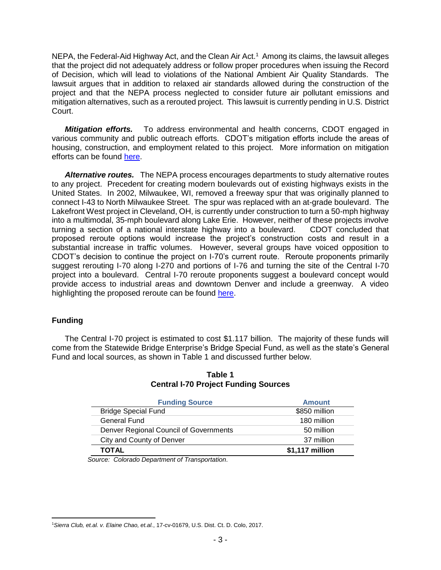NEPA, the Federal-Aid Highway Act, and the Clean Air Act.<sup>1</sup> Among its claims, the lawsuit alleges that the project did not adequately address or follow proper procedures when issuing the Record of Decision, which will lead to violations of the National Ambient Air Quality Standards. The lawsuit argues that in addition to relaxed air standards allowed during the construction of the project and that the NEPA process neglected to consider future air pollutant emissions and mitigation alternatives, such as a rerouted project. This lawsuit is currently pending in U.S. District Court.

*Mitigation efforts.* To address environmental and health concerns, CDOT engaged in various community and public outreach efforts. CDOT's mitigation efforts include the areas of housing, construction, and employment related to this project. More information on mitigation efforts can be found [here.](https://www.codot.gov/projects/i70east/fact-sheets-8-8-16/community-commitments-eng-02-12-17.pdf)

*Alternative routes.* The NEPA process encourages departments to study alternative routes to any project. Precedent for creating modern boulevards out of existing highways exists in the United States. In 2002, Milwaukee, WI, removed a freeway spur that was originally planned to connect I-43 to North Milwaukee Street. The spur was replaced with an at-grade boulevard. The Lakefront West project in Cleveland, OH, is currently under construction to turn a 50-mph highway into a multimodal, 35-mph boulevard along Lake Erie. However, neither of these projects involve turning a section of a national interstate highway into a boulevard. CDOT concluded that proposed reroute options would increase the project's construction costs and result in a substantial increase in traffic volumes. However, several groups have voiced opposition to CDOT's decision to continue the project on I-70's current route. Reroute proponents primarily suggest rerouting I-70 along I-270 and portions of I-76 and turning the site of the Central I-70 project into a boulevard. Central I-70 reroute proponents suggest a boulevard concept would provide access to industrial areas and downtown Denver and include a greenway. A video highlighting the proposed reroute can be found [here.](https://www.youtube.com/watch?v=YzWyb6LsLrc&feature=youtu.be)

### **Funding**

The Central I-70 project is estimated to cost \$1.117 billion. The majority of these funds will come from the Statewide Bridge Enterprise's Bridge Special Fund, as well as the state's General Fund and local sources, as shown in Table 1 and discussed further below.

| <b>Funding Source</b>                  | <b>Amount</b>   |  |  |
|----------------------------------------|-----------------|--|--|
| <b>Bridge Special Fund</b>             | \$850 million   |  |  |
| General Fund                           | 180 million     |  |  |
| Denver Regional Council of Governments | 50 million      |  |  |
| City and County of Denver              | 37 million      |  |  |
| <b>TOTAL</b>                           | \$1,117 million |  |  |

## **Table 1 Central I-70 Project Funding Sources**

*Source: Colorado Department of Transportation.*

 $\overline{\phantom{a}}$ 1*Sierra Club, et.al. v. Elaine Chao, et.al.*, 17-cv-01679, U.S. Dist. Ct. D. Colo, 2017.